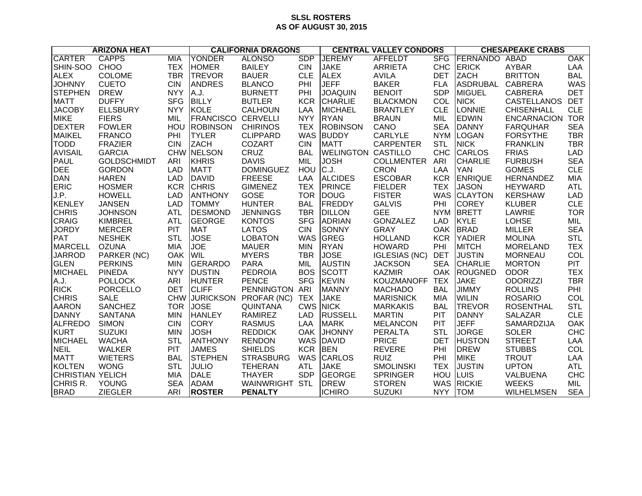## **SLSL ROSTERS AS OF AUGUST 30, 2015**

| <b>ARIZONA HEAT</b>     |                    |            | <b>CALIFORNIA DRAGONS</b> |                  |            | <b>CENTRAL VALLEY CONDORS</b> |                      |            | <b>CHESAPEAKE CRABS</b> |                    |            |
|-------------------------|--------------------|------------|---------------------------|------------------|------------|-------------------------------|----------------------|------------|-------------------------|--------------------|------------|
| <b>CARTER</b>           | <b>CAPPS</b>       | <b>MIA</b> | <b>YONDER</b>             | <b>ALONSO</b>    | <b>SDP</b> | <b>JEREMY</b>                 | <b>AFFELDT</b>       | <b>SFG</b> | FERNANDO                | ABAD               | OAK        |
| SHIN-SOO                | <b>CHOO</b>        | <b>TEX</b> | <b>HOMER</b>              | <b>BAILEY</b>    | <b>CIN</b> | <b>JAKE</b>                   | <b>ARRIETA</b>       | <b>CHC</b> | <b>ERICK</b>            | <b>AYBAR</b>       | LAA        |
| <b>ALEX</b>             | <b>COLOME</b>      | <b>TBR</b> | <b>TREVOR</b>             | <b>BAUER</b>     | <b>CLE</b> | <b>ALEX</b>                   | <b>AVILA</b>         | <b>DET</b> | <b>ZACH</b>             | <b>BRITTON</b>     | <b>BAL</b> |
| <b>JOHNNY</b>           | <b>CUETO</b>       | <b>CIN</b> | <b>ANDRES</b>             | <b>BLANCO</b>    | PHI        | <b>JEFF</b>                   | <b>BAKER</b>         | <b>FLA</b> | <b>ASDRUBAL</b>         | CABRERA            | <b>WAS</b> |
| <b>STEPHEN</b>          | <b>DREW</b>        | <b>NYY</b> | A.J.                      | <b>BURNETT</b>   | PHI        | <b>JOAQUIN</b>                | <b>BENOIT</b>        | <b>SDP</b> | MIGUEL                  | <b>CABRERA</b>     | <b>DET</b> |
| <b>MATT</b>             | <b>DUFFY</b>       | <b>SFG</b> | <b>BILLY</b>              | <b>BUTLER</b>    | <b>KCR</b> | <b>CHARLIE</b>                | <b>BLACKMON</b>      | COL        | <b>NICK</b>             | CASTELLANOS        | <b>DET</b> |
| <b>JACOBY</b>           | <b>ELLSBURY</b>    | <b>NYY</b> | <b>KOLE</b>               | <b>CALHOUN</b>   | LAA        | <b>MICHAEL</b>                | <b>BRANTLEY</b>      | <b>CLE</b> | LONNIE                  | <b>CHISENHALL</b>  | <b>CLE</b> |
| <b>MIKE</b>             | <b>FIERS</b>       | MIL        | <b>FRANCISCO CERVELLI</b> |                  | <b>NYY</b> | <b>RYAN</b>                   | <b>BRAUN</b>         | MIL        | <b>EDWIN</b>            | <b>ENCARNACION</b> | <b>TOR</b> |
| <b>DEXTER</b>           | <b>FOWLER</b>      | HOU        | <b>ROBINSON</b>           | <b>CHIRINOS</b>  | <b>TEX</b> | <b>ROBINSON</b>               | CANO                 | <b>SEA</b> | <b>DANNY</b>            | <b>FARQUHAR</b>    | <b>SEA</b> |
| <b>MAIKEL</b>           | <b>FRANCO</b>      | PHI        | <b>TYLER</b>              | <b>CLIPPARD</b>  | <b>WAS</b> | <b>BUDDY</b>                  | <b>CARLYLE</b>       | <b>NYM</b> | <b>LOGAN</b>            | <b>FORSYTHE</b>    | <b>TBR</b> |
| <b>TODD</b>             | <b>FRAZIER</b>     | <b>CIN</b> | <b>ZACH</b>               | <b>COZART</b>    | <b>CIN</b> | <b>MATT</b>                   | <b>CARPENTER</b>     | <b>STL</b> | <b>NICK</b>             | <b>FRANKLIN</b>    | <b>TBR</b> |
| <b>AVISAIL</b>          | <b>GARCIA</b>      |            | CHW NELSON                | CRUZ             | <b>BAL</b> | <b>WELINGTON CASTILLO</b>     |                      | <b>CHC</b> | <b>CARLOS</b>           | <b>FRIAS</b>       | <b>LAD</b> |
| <b>PAUL</b>             | <b>GOLDSCHMIDT</b> | ARI        | <b>KHRIS</b>              | <b>DAVIS</b>     | MIL        | <b>JOSH</b>                   | <b>COLLMENTER</b>    | ARI        | <b>CHARLIE</b>          | <b>FURBUSH</b>     | <b>SEA</b> |
| <b>DEE</b>              | <b>GORDON</b>      | <b>LAD</b> | <b>MATT</b>               | <b>DOMINGUEZ</b> | HOU        | C.J.                          | <b>CRON</b>          | LAA        | <b>YAN</b>              | <b>GOMES</b>       | <b>CLE</b> |
| <b>DAN</b>              | <b>HAREN</b>       | <b>LAD</b> | <b>DAVID</b>              | <b>FREESE</b>    | LAA        | <b>ALCIDES</b>                | <b>ESCOBAR</b>       | <b>KCR</b> | <b>ENRIQUE</b>          | HERNANDEZ          | <b>MIA</b> |
| <b>ERIC</b>             | <b>HOSMER</b>      | <b>KCR</b> | <b>CHRIS</b>              | <b>GIMENEZ</b>   | <b>TEX</b> | PRINCE                        | <b>FIELDER</b>       | <b>TEX</b> | <b>JASON</b>            | <b>HEYWARD</b>     | <b>ATL</b> |
| J.P.                    | <b>HOWELL</b>      | <b>LAD</b> | <b>ANTHONY</b>            | GOSE             | <b>TOR</b> | <b>DOUG</b>                   | <b>FISTER</b>        |            | WAS CLAYTON             | <b>KERSHAW</b>     | <b>LAD</b> |
| KENLEY                  | <b>JANSEN</b>      | <b>LAD</b> | <b>TOMMY</b>              | <b>HUNTER</b>    | <b>BAL</b> | <b>FREDDY</b>                 | <b>GALVIS</b>        | PHI        | <b>COREY</b>            | <b>KLUBER</b>      | <b>CLE</b> |
| <b>CHRIS</b>            | <b>JOHNSON</b>     | <b>ATL</b> | <b>DESMOND</b>            | <b>JENNINGS</b>  | <b>TBR</b> | <b>DILLON</b>                 | <b>GEE</b>           |            | NYM BRETT               | LAWRIE             | <b>TOR</b> |
| CRAIG                   | <b>KIMBREL</b>     | <b>ATL</b> | <b>GEORGE</b>             | <b>KONTOS</b>    | <b>SFG</b> | <b>ADRIAN</b>                 | <b>GONZALEZ</b>      | <b>LAD</b> | <b>KYLE</b>             | <b>LOHSE</b>       | MIL        |
| <b>JORDY</b>            | <b>MERCER</b>      | PIT        | <b>MAT</b>                | <b>LATOS</b>     | <b>CIN</b> | <b>SONNY</b>                  | <b>GRAY</b>          |            | OAK BRAD                | <b>MILLER</b>      | <b>SEA</b> |
| <b>PAT</b>              | <b>NESHEK</b>      | <b>STL</b> | <b>JOSE</b>               | <b>LOBATON</b>   | <b>WAS</b> | <b>GREG</b>                   | <b>HOLLAND</b>       | <b>KCR</b> | <b>YADIER</b>           | <b>MOLINA</b>      | <b>STL</b> |
| <b>MARCELL</b>          | <b>OZUNA</b>       | MIA        | JOE                       | <b>MAUER</b>     | <b>MIN</b> | <b>RYAN</b>                   | <b>HOWARD</b>        | PHI        | <b>MITCH</b>            | <b>MORELAND</b>    | <b>TEX</b> |
| <b>JARROD</b>           | PARKER (NC)        | <b>OAK</b> | <b>WIL</b>                | <b>MYERS</b>     | <b>TBR</b> | <b>JOSE</b>                   | <b>IGLESIAS (NC)</b> | <b>DET</b> | <b>JUSTIN</b>           | <b>MORNEAU</b>     | COL        |
| GLEN                    | <b>PERKINS</b>     | <b>MIN</b> | <b>GERARDO</b>            | <b>PARA</b>      | MIL        | <b>AUSTIN</b>                 | <b>JACKSON</b>       | <b>SEA</b> | <b>CHARLIE</b>          | <b>MORTON</b>      | <b>PIT</b> |
| <b>MICHAEL</b>          | <b>PINEDA</b>      | <b>NYY</b> | <b>DUSTIN</b>             | <b>PEDROIA</b>   | <b>BOS</b> | <b>SCOTT</b>                  | <b>KAZMIR</b>        | <b>OAK</b> | <b>ROUGNED</b>          | <b>ODOR</b>        | <b>TEX</b> |
| A.J.                    | <b>POLLOCK</b>     | <b>ARI</b> | <b>HUNTER</b>             | <b>PENCE</b>     | <b>SFG</b> | <b>KEVIN</b>                  | <b>KOUZMANOFF</b>    | <b>TEX</b> | <b>JAKE</b>             | <b>ODORIZZI</b>    | <b>TBR</b> |
| <b>RICK</b>             | <b>PORCELLO</b>    | <b>DET</b> | <b>CLIFF</b>              | PENNINGTON ARI   |            | <b>MANNY</b>                  | <b>MACHADO</b>       | <b>BAL</b> | <b>JIMMY</b>            | <b>ROLLINS</b>     | PHI        |
| <b>CHRIS</b>            | <b>SALE</b>        | <b>CHW</b> | <b>JURICKSON</b>          | PROFAR (NC)      | <b>TEX</b> | <b>JAKE</b>                   | <b>MARISNICK</b>     | <b>MIA</b> | <b>WILIN</b>            | <b>ROSARIO</b>     | COL        |
| <b>AARON</b>            | <b>SANCHEZ</b>     | <b>TOR</b> | <b>JOSE</b>               | <b>QUINTANA</b>  | <b>CWS</b> | <b>NICK</b>                   | <b>MARKAKIS</b>      | <b>BAL</b> | <b>TREVOR</b>           | <b>ROSENTHAL</b>   | <b>STL</b> |
| DANNY                   | <b>SANTANA</b>     | <b>MIN</b> | <b>HANLEY</b>             | <b>RAMIREZ</b>   | <b>LAD</b> | <b>RUSSELL</b>                | <b>MARTIN</b>        | PIT        | <b>DANNY</b>            | <b>SALAZAR</b>     | <b>CLE</b> |
| <b>ALFREDO</b>          | <b>SIMON</b>       | <b>CIN</b> | <b>CORY</b>               | <b>RASMUS</b>    | LAA        | <b>MARK</b>                   | <b>MELANCON</b>      | <b>PIT</b> | <b>JEFF</b>             | SAMARDZIJA         | <b>OAK</b> |
| KURT                    | <b>SUZUKI</b>      | <b>MIN</b> | <b>JOSH</b>               | <b>REDDICK</b>   | <b>OAK</b> | <b>JHONNY</b>                 | <b>PERALTA</b>       | <b>STL</b> | <b>JORGE</b>            | <b>SOLER</b>       | <b>CHC</b> |
| <b>MICHAEL</b>          | <b>WACHA</b>       | <b>STL</b> | ANTHONY                   | <b>RENDON</b>    | <b>WAS</b> | <b>DAVID</b>                  | <b>PRICE</b>         | <b>DET</b> | <b>HUSTON</b>           | <b>STREET</b>      | LAA        |
| <b>NEIL</b>             | <b>WALKER</b>      | <b>PIT</b> | <b>JAMES</b>              | <b>SHIELDS</b>   | <b>KCR</b> | <b>BEN</b>                    | <b>REVERE</b>        | PHI        | <b>DREW</b>             | <b>STUBBS</b>      | COL        |
| <b>MATT</b>             | <b>WIETERS</b>     | <b>BAL</b> | <b>STEPHEN</b>            | <b>STRASBURG</b> | <b>WAS</b> | <b>CARLOS</b>                 | <b>RUIZ</b>          | PHI        | <b>MIKE</b>             | <b>TROUT</b>       | LAA        |
| KOLTEN                  | <b>WONG</b>        | <b>STL</b> | <b>JULIO</b>              | <b>TEHERAN</b>   | <b>ATL</b> | <b>JAKE</b>                   | <b>SMOLINSKI</b>     | <b>TEX</b> | <b>JUSTIN</b>           | <b>UPTON</b>       | <b>ATL</b> |
| <b>CHRISTIAN YELICH</b> |                    | <b>MIA</b> | <b>DALE</b>               | <b>THAYER</b>    | <b>SDP</b> | <b>GEORGE</b>                 | <b>SPRINGER</b>      | HOU        | LUIS                    | VALBUENA           | <b>CHC</b> |
| CHRIS R.                | YOUNG              | <b>SEA</b> | <b>ADAM</b>               | WAINWRIGHT STL   |            | <b>DREW</b>                   | <b>STOREN</b>        | <b>WAS</b> | <b>RICKIE</b>           | <b>WEEKS</b>       | MIL        |
| <b>BRAD</b>             | <b>ZIEGLER</b>     | <b>ARI</b> | <b>ROSTER</b>             | <b>PENALTY</b>   |            | <b>ICHIRO</b>                 | <b>SUZUKI</b>        | <b>NYY</b> | <b>TOM</b>              | <b>WILHELMSEN</b>  | <b>SEA</b> |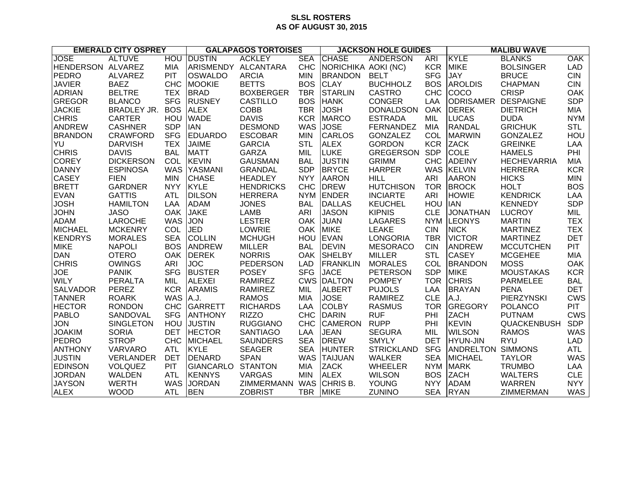## **SLSL ROSTERS AS OF AUGUST 30, 2015**

| <b>EMERALD CITY OSPREY</b> |                    | <b>GALAPAGOS TORTOISES</b> |                     |                  | <b>JACKSON HOLE GUIDES</b> |                     |                   | <b>MALIBU WAVE</b> |                          |                    |            |
|----------------------------|--------------------|----------------------------|---------------------|------------------|----------------------------|---------------------|-------------------|--------------------|--------------------------|--------------------|------------|
| <b>JOSE</b>                | <b>ALTUVE</b>      | <b>HOU</b>                 | <b>DUSTIN</b>       | <b>ACKLEY</b>    | <b>SEA</b>                 | <b>CHASE</b>        | <b>ANDERSON</b>   | <b>ARI</b>         | KYLE                     | <b>BLANKS</b>      | <b>OAK</b> |
| HENDERSON ALVAREZ          |                    | MIA                        | ARISMENDY ALCANTARA |                  | <b>CHC</b>                 | NORICHIKA AOKI (NC) |                   | <b>KCR</b>         | <b>MIKE</b>              | <b>BOLSINGER</b>   | <b>LAD</b> |
| PEDRO                      | <b>ALVAREZ</b>     | <b>PIT</b>                 | <b>OSWALDO</b>      | <b>ARCIA</b>     | <b>MIN</b>                 | <b>BRANDON</b>      | <b>BELT</b>       | <b>SFG</b>         | <b>JAY</b>               | <b>BRUCE</b>       | <b>CIN</b> |
| <b>JAVIER</b>              | <b>BAEZ</b>        | <b>CHC</b>                 | <b>MOOKIE</b>       | <b>BETTS</b>     | <b>BOS</b>                 | <b>CLAY</b>         | <b>BUCHHOLZ</b>   | <b>BOS</b>         | <b>AROLDIS</b>           | <b>CHAPMAN</b>     | <b>CIN</b> |
| <b>ADRIAN</b>              | <b>BELTRE</b>      | <b>TEX</b>                 | <b>BRAD</b>         | <b>BOXBERGER</b> | <b>TBR</b>                 | <b>STARLIN</b>      | <b>CASTRO</b>     | <b>CHC</b>         | <b>COCO</b>              | <b>CRISP</b>       | OAK        |
| <b>GREGOR</b>              | <b>BLANCO</b>      | <b>SFG</b>                 | <b>RUSNEY</b>       | <b>CASTILLO</b>  | <b>BOS</b>                 | <b>HANK</b>         | <b>CONGER</b>     | LAA                | <b>ODRISAMER</b>         | <b>DESPAIGNE</b>   | <b>SDP</b> |
| <b>JACKIE</b>              | <b>BRADLEY JR.</b> | <b>BOS</b>                 | <b>ALEX</b>         | <b>COBB</b>      | <b>TBR</b>                 | <b>JOSH</b>         | <b>DONALDSON</b>  | <b>OAK</b>         | <b>DEREK</b>             | <b>DIETRICH</b>    | <b>MIA</b> |
| <b>CHRIS</b>               | <b>CARTER</b>      | HOU                        | <b>WADE</b>         | <b>DAVIS</b>     | <b>KCR</b>                 | <b>MARCO</b>        | <b>ESTRADA</b>    | MIL                | <b>LUCAS</b>             | <b>DUDA</b>        | <b>NYM</b> |
| ANDREW                     | <b>CASHNER</b>     | <b>SDP</b>                 | <b>IAN</b>          | <b>DESMOND</b>   | <b>WAS</b>                 | <b>JOSE</b>         | <b>FERNANDEZ</b>  | <b>MIA</b>         | RANDAL                   | <b>GRICHUK</b>     | <b>STL</b> |
| <b>BRANDON</b>             | <b>CRAWFORD</b>    | <b>SFG</b>                 | <b>EDUARDO</b>      | <b>ESCOBAR</b>   | <b>MIN</b>                 | <b>CARLOS</b>       | <b>GONZALEZ</b>   | COL                | <b>MARWIN</b>            | <b>GONZALEZ</b>    | HOU        |
| YU                         | <b>DARVISH</b>     | <b>TEX</b>                 | <b>JAIME</b>        | <b>GARCIA</b>    | <b>STL</b>                 | <b>ALEX</b>         | <b>GORDON</b>     | <b>KCR</b>         | <b>ZACK</b>              | <b>GREINKE</b>     | LAA        |
| <b>CHRIS</b>               | <b>DAVIS</b>       | <b>BAL</b>                 | <b>MATT</b>         | <b>GARZA</b>     | MIL                        | <b>LUKE</b>         | <b>GREGERSON</b>  | <b>SDP</b>         | <b>COLE</b>              | <b>HAMELS</b>      | PHI        |
| <b>COREY</b>               | <b>DICKERSON</b>   | COL                        | <b>KEVIN</b>        | <b>GAUSMAN</b>   | <b>BAL</b>                 | <b>JUSTIN</b>       | <b>GRIMM</b>      | <b>CHC</b>         | <b>ADEINY</b>            | <b>HECHEVARRIA</b> | <b>MIA</b> |
| <b>DANNY</b>               | <b>ESPINOSA</b>    | <b>WAS</b>                 | YASMANI             | <b>GRANDAL</b>   | <b>SDP</b>                 | <b>BRYCE</b>        | <b>HARPER</b>     | <b>WAS</b>         | <b>KELVIN</b>            | <b>HERRERA</b>     | <b>KCR</b> |
| <b>CASEY</b>               | <b>FIEN</b>        | <b>MIN</b>                 | <b>CHASE</b>        | <b>HEADLEY</b>   | <b>NYY</b>                 | <b>AARON</b>        | <b>HILL</b>       | ARI                | <b>AARON</b>             | <b>HICKS</b>       | <b>MIN</b> |
| <b>BRETT</b>               | <b>GARDNER</b>     | <b>NYY</b>                 | <b>KYLE</b>         | <b>HENDRICKS</b> | <b>CHC</b>                 | <b>DREW</b>         | <b>HUTCHISON</b>  | <b>TOR</b>         | <b>BROCK</b>             | <b>HOLT</b>        | <b>BOS</b> |
| <b>EVAN</b>                | <b>GATTIS</b>      | <b>ATL</b>                 | <b>DILSON</b>       | <b>HERRERA</b>   | <b>NYM</b>                 | <b>ENDER</b>        | <b>INCIARTE</b>   | ARI                | <b>HOWIE</b>             | <b>KENDRICK</b>    | LAA        |
| <b>JOSH</b>                | <b>HAMILTON</b>    | LAA                        | <b>ADAM</b>         | <b>JONES</b>     | <b>BAL</b>                 | <b>DALLAS</b>       | <b>KEUCHEL</b>    | HOU                | <b>IAN</b>               | <b>KENNEDY</b>     | <b>SDP</b> |
| <b>JOHN</b>                | <b>JASO</b>        | <b>OAK</b>                 | <b>JAKE</b>         | <b>LAMB</b>      | ARI                        | <b>JASON</b>        | <b>KIPNIS</b>     | <b>CLE</b>         | <b>JONATHAN</b>          | <b>LUCROY</b>      | MIL        |
| <b>ADAM</b>                | <b>LAROCHE</b>     | <b>WAS</b>                 | <b>JON</b>          | <b>LESTER</b>    | <b>OAK</b>                 | <b>JUAN</b>         | <b>LAGARES</b>    | <b>NYM</b>         | <b>ILEONYS</b>           | <b>MARTIN</b>      | <b>TEX</b> |
| <b>MICHAEL</b>             | <b>MCKENRY</b>     | COL                        | <b>JED</b>          | <b>LOWRIE</b>    | <b>OAK</b>                 | <b>MIKE</b>         | <b>LEAKE</b>      | <b>CIN</b>         | <b>NICK</b>              | <b>MARTINEZ</b>    | <b>TEX</b> |
| <b>KENDRYS</b>             | <b>MORALES</b>     | <b>SEA</b>                 | <b>COLLIN</b>       | <b>MCHUGH</b>    | HOU                        | <b>EVAN</b>         | <b>LONGORIA</b>   | <b>TBR</b>         | <b>VICTOR</b>            | <b>MARTINEZ</b>    | <b>DET</b> |
| <b>MIKE</b>                | <b>NAPOLI</b>      | <b>BOS</b>                 | <b>ANDREW</b>       | <b>MILLER</b>    | <b>BAL</b>                 | <b>DEVIN</b>        | <b>MESORACO</b>   | <b>CIN</b>         | ANDREW                   | <b>MCCUTCHEN</b>   | <b>PIT</b> |
| <b>DAN</b>                 | <b>OTERO</b>       | <b>OAK</b>                 | <b>DEREK</b>        | <b>NORRIS</b>    | <b>OAK</b>                 | <b>SHELBY</b>       | <b>MILLER</b>     | <b>STL</b>         | <b>CASEY</b>             | <b>MCGEHEE</b>     | <b>MIA</b> |
| <b>CHRIS</b>               | <b>OWINGS</b>      | ARI                        | <b>JOC</b>          | <b>PEDERSON</b>  | <b>LAD</b>                 | <b>FRANKLIN</b>     | <b>MORALES</b>    | COL                | <b>BRANDON</b>           | <b>MOSS</b>        | OAK        |
| <b>JOE</b>                 | <b>PANIK</b>       | <b>SFG</b>                 | <b>BUSTER</b>       | <b>POSEY</b>     | <b>SFG</b>                 | <b>JACE</b>         | <b>PETERSON</b>   | <b>SDP</b>         | <b>MIKE</b>              | <b>MOUSTAKAS</b>   | <b>KCR</b> |
| <b>WILY</b>                | <b>PERALTA</b>     | MIL                        | <b>ALEXEI</b>       | <b>RAMIREZ</b>   | <b>CWS</b>                 | <b>DALTON</b>       | <b>POMPEY</b>     | <b>TOR</b>         | <b>CHRIS</b>             | <b>PARMELEE</b>    | <b>BAL</b> |
| <b>SALVADOR</b>            | PEREZ              | <b>KCR</b>                 | <b>ARAMIS</b>       | <b>RAMIREZ</b>   | MIL                        | <b>ALBERT</b>       | <b>PUJOLS</b>     | LAA                | <b>BRAYAN</b>            | <b>PENA</b>        | <b>DET</b> |
| <b>TANNER</b>              | <b>ROARK</b>       | <b>WAS</b>                 | A.J.                | <b>RAMOS</b>     | MIA                        | <b>JOSE</b>         | <b>RAMIREZ</b>    | <b>CLE</b>         | A.J.                     | <b>PIERZYNSKI</b>  | <b>CWS</b> |
| <b>HECTOR</b>              | <b>RONDON</b>      | <b>CHC</b>                 | GARRETT             | <b>RICHARDS</b>  | LAA                        | <b>COLBY</b>        | <b>RASMUS</b>     | <b>TOR</b>         | GREGORY                  | <b>POLANCO</b>     | <b>PIT</b> |
| <b>PABLO</b>               | SANDOVAL           | <b>SFG</b>                 | <b>ANTHONY</b>      | <b>RIZZO</b>     | <b>CHC</b>                 | <b>DARIN</b>        | <b>RUF</b>        | PHI                | <b>ZACH</b>              | <b>PUTNAM</b>      | <b>CWS</b> |
| <b>JON</b>                 | <b>SINGLETON</b>   | HOU                        | <b>JUSTIN</b>       | <b>RUGGIANO</b>  | <b>CHC</b>                 | <b>CAMERON</b>      | <b>RUPP</b>       | PHI                | <b>KEVIN</b>             | <b>QUACKENBUSH</b> | <b>SDP</b> |
| <b>JOAKIM</b>              | <b>SORIA</b>       | <b>DET</b>                 | <b>HECTOR</b>       | <b>SANTIAGO</b>  | LAA                        | <b>JEAN</b>         | <b>SEGURA</b>     | MIL                | <b>WILSON</b>            | <b>RAMOS</b>       | <b>WAS</b> |
| PEDRO                      | <b>STROP</b>       | <b>CHC</b>                 | <b>MICHAEL</b>      | <b>SAUNDERS</b>  | <b>SEA</b>                 | <b>DREW</b>         | <b>SMYLY</b>      | <b>DET</b>         | HYUN-JIN                 | <b>RYU</b>         | <b>LAD</b> |
| <b>ANTHONY</b>             | VARVARO            | <b>ATL</b>                 | <b>KYLE</b>         | <b>SEAGER</b>    | <b>SEA</b>                 | <b>HUNTER</b>       | <b>STRICKLAND</b> | <b>SFG</b>         | <b>ANDRELTON SIMMONS</b> |                    | <b>ATL</b> |
| <b>JUSTIN</b>              | VERLANDER          | <b>DET</b>                 | <b>DENARD</b>       | <b>SPAN</b>      | <b>WAS</b>                 | <b>TAIJUAN</b>      | <b>WALKER</b>     | <b>SEA</b>         | <b>MICHAEL</b>           | <b>TAYLOR</b>      | <b>WAS</b> |
| <b>EDINSON</b>             | <b>VOLQUEZ</b>     | <b>PIT</b>                 | <b>GIANCARLO</b>    | <b>STANTON</b>   | <b>MIA</b>                 | <b>ZACK</b>         | <b>WHEELER</b>    | <b>NYM</b>         | <b>MARK</b>              | <b>TRUMBO</b>      | LAA        |
| <b>JORDAN</b>              | <b>WALDEN</b>      | <b>ATL</b>                 | <b>KENNYS</b>       | <b>VARGAS</b>    | <b>MIN</b>                 | <b>ALEX</b>         | <b>WILSON</b>     | <b>BOS</b>         | <b>ZACH</b>              | <b>WALTERS</b>     | <b>CLE</b> |
| <b>JAYSON</b>              | <b>WERTH</b>       | <b>WAS</b>                 | <b>JORDAN</b>       | ZIMMERMANN       | <b>WAS</b>                 | CHRIS B.            | <b>YOUNG</b>      | <b>NYY</b>         | <b>ADAM</b>              | <b>WARREN</b>      | <b>NYY</b> |
| <b>ALEX</b>                | <b>WOOD</b>        | ATL                        | <b>BEN</b>          | <b>ZOBRIST</b>   | <b>TBR</b>                 | <b>MIKE</b>         | <b>ZUNINO</b>     | <b>SEA</b>         | <b>RYAN</b>              | ZIMMERMAN          | <b>WAS</b> |